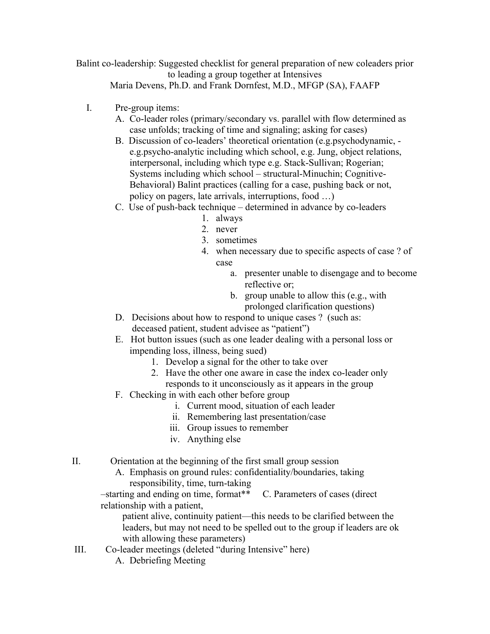Balint co-leadership: Suggested checklist for general preparation of new coleaders prior to leading a group together at Intensives Maria Devens, Ph.D. and Frank Dornfest, M.D., MFGP (SA), FAAFP

- I. Pre-group items:
	- A. Co-leader roles (primary/secondary vs. parallel with flow determined as case unfolds; tracking of time and signaling; asking for cases)
	- B. Discussion of co-leaders' theoretical orientation (e.g.psychodynamic, e.g.psycho-analytic including which school, e.g. Jung, object relations, interpersonal, including which type e.g. Stack-Sullivan; Rogerian; Systems including which school – structural-Minuchin; Cognitive-Behavioral) Balint practices (calling for a case, pushing back or not, policy on pagers, late arrivals, interruptions, food …)
	- C. Use of push-back technique determined in advance by co-leaders
		- 1. always
		- 2. never
		- 3. sometimes
		- 4. when necessary due to specific aspects of case ? of case
			- a. presenter unable to disengage and to become reflective or;
			- b. group unable to allow this (e.g., with prolonged clarification questions)
	- D. Decisions about how to respond to unique cases ? (such as: deceased patient, student advisee as "patient")
	- E. Hot button issues (such as one leader dealing with a personal loss or impending loss, illness, being sued)
		- 1. Develop a signal for the other to take over
		- 2. Have the other one aware in case the index co-leader only responds to it unconsciously as it appears in the group
	- F. Checking in with each other before group
		- i. Current mood, situation of each leader
		- ii. Remembering last presentation/case
		- iii. Group issues to remember
		- iv. Anything else
- II. Orientation at the beginning of the first small group session
	- A. Emphasis on ground rules: confidentiality/boundaries, taking responsibility, time, turn-taking

–starting and ending on time, format\*\* C. Parameters of cases (direct relationship with a patient,

 patient alive, continuity patient—this needs to be clarified between the leaders, but may not need to be spelled out to the group if leaders are ok with allowing these parameters)

- III. Co-leader meetings (deleted "during Intensive" here)
	- A. Debriefing Meeting